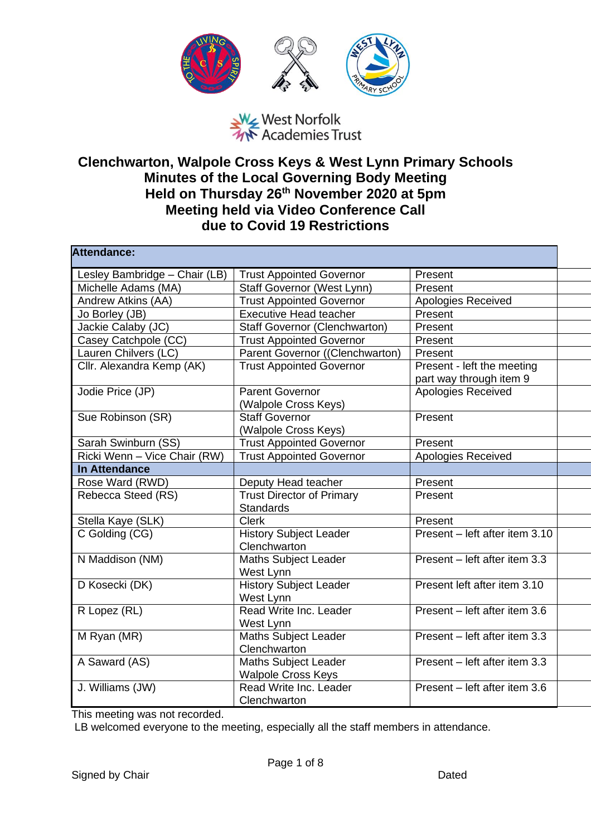

## West Norfolk<br>West Norfolk<br>We Academies Trust

## **Clenchwarton, Walpole Cross Keys & West Lynn Primary Schools Minutes of the Local Governing Body Meeting Held on Thursday 26th November 2020 at 5pm Meeting held via Video Conference Call due to Covid 19 Restrictions**

| <b>Attendance:</b>            |                                                          |                                                       |
|-------------------------------|----------------------------------------------------------|-------------------------------------------------------|
| Lesley Bambridge - Chair (LB) | <b>Trust Appointed Governor</b>                          | Present                                               |
| Michelle Adams (MA)           | Staff Governor (West Lynn)                               | Present                                               |
| Andrew Atkins (AA)            | <b>Trust Appointed Governor</b>                          | Apologies Received                                    |
| Jo Borley (JB)                | <b>Executive Head teacher</b>                            | Present                                               |
| Jackie Calaby (JC)            | <b>Staff Governor (Clenchwarton)</b>                     | Present                                               |
| Casey Catchpole (CC)          | <b>Trust Appointed Governor</b>                          | Present                                               |
| Lauren Chilvers (LC)          | Parent Governor ((Clenchwarton)                          | Present                                               |
| Cllr. Alexandra Kemp (AK)     | <b>Trust Appointed Governor</b>                          | Present - left the meeting<br>part way through item 9 |
| Jodie Price (JP)              | <b>Parent Governor</b><br>(Walpole Cross Keys)           | Apologies Received                                    |
| Sue Robinson (SR)             | <b>Staff Governor</b><br>(Walpole Cross Keys)            | Present                                               |
| Sarah Swinburn (SS)           | <b>Trust Appointed Governor</b>                          | Present                                               |
| Ricki Wenn - Vice Chair (RW)  | <b>Trust Appointed Governor</b>                          | Apologies Received                                    |
| <b>In Attendance</b>          |                                                          |                                                       |
| Rose Ward (RWD)               | Deputy Head teacher                                      | Present                                               |
| Rebecca Steed (RS)            | <b>Trust Director of Primary</b><br><b>Standards</b>     | Present                                               |
| Stella Kaye (SLK)             | <b>Clerk</b>                                             | Present                                               |
| C Golding (CG)                | <b>History Subject Leader</b><br>Clenchwarton            | Present - left after item 3.10                        |
| N Maddison (NM)               | <b>Maths Subject Leader</b><br>West Lynn                 | Present - left after item 3.3                         |
| D Kosecki (DK)                | <b>History Subject Leader</b><br>West Lynn               | Present left after item 3.10                          |
| R Lopez (RL)                  | Read Write Inc. Leader<br>West Lynn                      | Present - left after item 3.6                         |
| M Ryan (MR)                   | <b>Maths Subject Leader</b><br>Clenchwarton              | Present - left after item 3.3                         |
| A Saward (AS)                 | <b>Maths Subject Leader</b><br><b>Walpole Cross Keys</b> | Present - left after item 3.3                         |
| J. Williams (JW)              | Read Write Inc. Leader<br>Clenchwarton                   | Present - left after item 3.6                         |

This meeting was not recorded.

LB welcomed everyone to the meeting, especially all the staff members in attendance.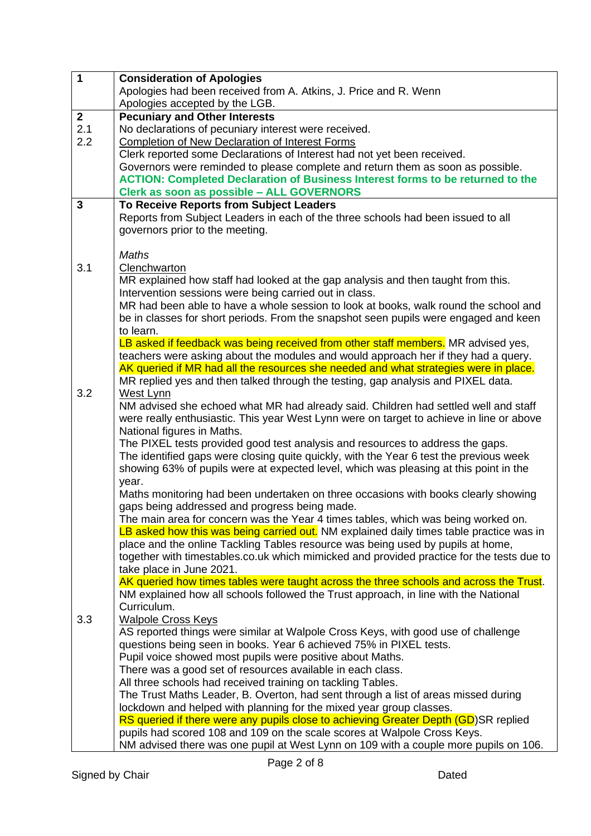| $\mathbf{1}$ | <b>Consideration of Apologies</b>                                                         |
|--------------|-------------------------------------------------------------------------------------------|
|              | Apologies had been received from A. Atkins, J. Price and R. Wenn                          |
|              | Apologies accepted by the LGB.                                                            |
| $\mathbf{2}$ | <b>Pecuniary and Other Interests</b>                                                      |
| 2.1          | No declarations of pecuniary interest were received.                                      |
| 2.2          | <b>Completion of New Declaration of Interest Forms</b>                                    |
|              | Clerk reported some Declarations of Interest had not yet been received.                   |
|              | Governors were reminded to please complete and return them as soon as possible.           |
|              | <b>ACTION: Completed Declaration of Business Interest forms to be returned to the</b>     |
|              | Clerk as soon as possible - ALL GOVERNORS                                                 |
| 3            | To Receive Reports from Subject Leaders                                                   |
|              | Reports from Subject Leaders in each of the three schools had been issued to all          |
|              | governors prior to the meeting.                                                           |
|              |                                                                                           |
|              | <b>Maths</b>                                                                              |
| 3.1          | Clenchwarton                                                                              |
|              | MR explained how staff had looked at the gap analysis and then taught from this.          |
|              | Intervention sessions were being carried out in class.                                    |
|              | MR had been able to have a whole session to look at books, walk round the school and      |
|              | be in classes for short periods. From the snapshot seen pupils were engaged and keen      |
|              | to learn.                                                                                 |
|              | LB asked if feedback was being received from other staff members. MR advised yes,         |
|              | teachers were asking about the modules and would approach her if they had a query.        |
|              | AK queried if MR had all the resources she needed and what strategies were in place.      |
|              | MR replied yes and then talked through the testing, gap analysis and PIXEL data.          |
| 3.2          | West Lynn                                                                                 |
|              | NM advised she echoed what MR had already said. Children had settled well and staff       |
|              | were really enthusiastic. This year West Lynn were on target to achieve in line or above  |
|              | National figures in Maths.                                                                |
|              | The PIXEL tests provided good test analysis and resources to address the gaps.            |
|              | The identified gaps were closing quite quickly, with the Year 6 test the previous week    |
|              | showing 63% of pupils were at expected level, which was pleasing at this point in the     |
|              | year.                                                                                     |
|              | Maths monitoring had been undertaken on three occasions with books clearly showing        |
|              | gaps being addressed and progress being made.                                             |
|              | The main area for concern was the Year 4 times tables, which was being worked on.         |
|              | LB asked how this was being carried out. NM explained daily times table practice was in   |
|              | place and the online Tackling Tables resource was being used by pupils at home,           |
|              | together with timestables.co.uk which mimicked and provided practice for the tests due to |
|              | take place in June 2021.                                                                  |
|              | AK queried how times tables were taught across the three schools and across the Trust.    |
|              | NM explained how all schools followed the Trust approach, in line with the National       |
|              | Curriculum.                                                                               |
| 3.3          | <b>Walpole Cross Keys</b>                                                                 |
|              | AS reported things were similar at Walpole Cross Keys, with good use of challenge         |
|              | questions being seen in books. Year 6 achieved 75% in PIXEL tests.                        |
|              | Pupil voice showed most pupils were positive about Maths.                                 |
|              | There was a good set of resources available in each class.                                |
|              | All three schools had received training on tackling Tables.                               |
|              | The Trust Maths Leader, B. Overton, had sent through a list of areas missed during        |
|              | lockdown and helped with planning for the mixed year group classes.                       |
|              | RS queried if there were any pupils close to achieving Greater Depth (GD)SR replied       |
|              | pupils had scored 108 and 109 on the scale scores at Walpole Cross Keys.                  |
|              | NM advised there was one pupil at West Lynn on 109 with a couple more pupils on 106.      |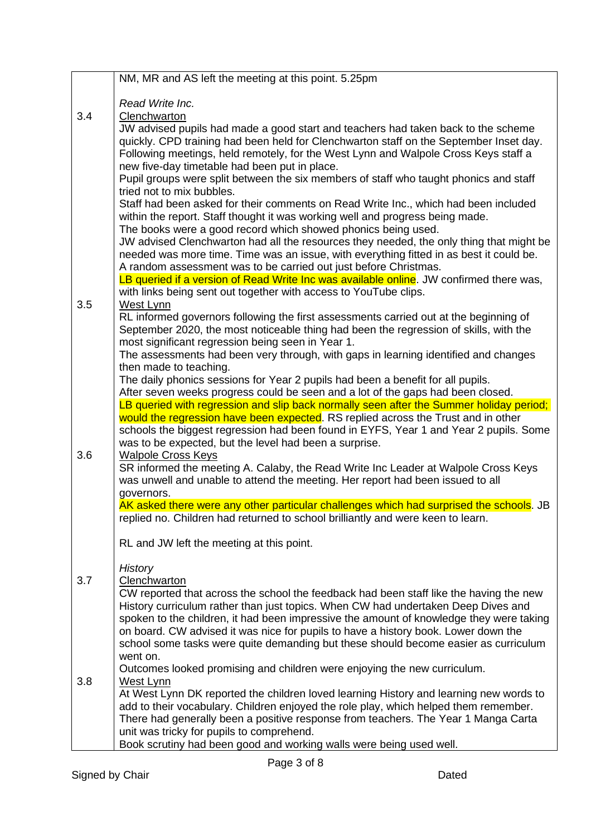|     | NM, MR and AS left the meeting at this point. 5.25pm                                                                                                                                                                                                                                                                                                                                                                                                                                                                                                                                                                                                                                                                |
|-----|---------------------------------------------------------------------------------------------------------------------------------------------------------------------------------------------------------------------------------------------------------------------------------------------------------------------------------------------------------------------------------------------------------------------------------------------------------------------------------------------------------------------------------------------------------------------------------------------------------------------------------------------------------------------------------------------------------------------|
|     |                                                                                                                                                                                                                                                                                                                                                                                                                                                                                                                                                                                                                                                                                                                     |
| 3.4 | Read Write Inc.<br>Clenchwarton                                                                                                                                                                                                                                                                                                                                                                                                                                                                                                                                                                                                                                                                                     |
|     | JW advised pupils had made a good start and teachers had taken back to the scheme                                                                                                                                                                                                                                                                                                                                                                                                                                                                                                                                                                                                                                   |
|     | quickly. CPD training had been held for Clenchwarton staff on the September Inset day.                                                                                                                                                                                                                                                                                                                                                                                                                                                                                                                                                                                                                              |
|     | Following meetings, held remotely, for the West Lynn and Walpole Cross Keys staff a                                                                                                                                                                                                                                                                                                                                                                                                                                                                                                                                                                                                                                 |
|     | new five-day timetable had been put in place.                                                                                                                                                                                                                                                                                                                                                                                                                                                                                                                                                                                                                                                                       |
|     | Pupil groups were split between the six members of staff who taught phonics and staff                                                                                                                                                                                                                                                                                                                                                                                                                                                                                                                                                                                                                               |
|     | tried not to mix bubbles.                                                                                                                                                                                                                                                                                                                                                                                                                                                                                                                                                                                                                                                                                           |
|     | Staff had been asked for their comments on Read Write Inc., which had been included<br>within the report. Staff thought it was working well and progress being made.                                                                                                                                                                                                                                                                                                                                                                                                                                                                                                                                                |
|     | The books were a good record which showed phonics being used.                                                                                                                                                                                                                                                                                                                                                                                                                                                                                                                                                                                                                                                       |
|     | JW advised Clenchwarton had all the resources they needed, the only thing that might be                                                                                                                                                                                                                                                                                                                                                                                                                                                                                                                                                                                                                             |
|     | needed was more time. Time was an issue, with everything fitted in as best it could be.                                                                                                                                                                                                                                                                                                                                                                                                                                                                                                                                                                                                                             |
|     | A random assessment was to be carried out just before Christmas.                                                                                                                                                                                                                                                                                                                                                                                                                                                                                                                                                                                                                                                    |
|     | LB queried if a version of Read Write Inc was available online. JW confirmed there was,                                                                                                                                                                                                                                                                                                                                                                                                                                                                                                                                                                                                                             |
|     | with links being sent out together with access to YouTube clips.                                                                                                                                                                                                                                                                                                                                                                                                                                                                                                                                                                                                                                                    |
| 3.5 | West Lynn<br>RL informed governors following the first assessments carried out at the beginning of                                                                                                                                                                                                                                                                                                                                                                                                                                                                                                                                                                                                                  |
|     | September 2020, the most noticeable thing had been the regression of skills, with the                                                                                                                                                                                                                                                                                                                                                                                                                                                                                                                                                                                                                               |
|     | most significant regression being seen in Year 1.                                                                                                                                                                                                                                                                                                                                                                                                                                                                                                                                                                                                                                                                   |
|     | The assessments had been very through, with gaps in learning identified and changes                                                                                                                                                                                                                                                                                                                                                                                                                                                                                                                                                                                                                                 |
|     | then made to teaching.                                                                                                                                                                                                                                                                                                                                                                                                                                                                                                                                                                                                                                                                                              |
|     | The daily phonics sessions for Year 2 pupils had been a benefit for all pupils.                                                                                                                                                                                                                                                                                                                                                                                                                                                                                                                                                                                                                                     |
|     | After seven weeks progress could be seen and a lot of the gaps had been closed.<br>LB queried with regression and slip back normally seen after the Summer holiday period;                                                                                                                                                                                                                                                                                                                                                                                                                                                                                                                                          |
|     | would the regression have been expected. RS replied across the Trust and in other                                                                                                                                                                                                                                                                                                                                                                                                                                                                                                                                                                                                                                   |
|     | schools the biggest regression had been found in EYFS, Year 1 and Year 2 pupils. Some                                                                                                                                                                                                                                                                                                                                                                                                                                                                                                                                                                                                                               |
|     | was to be expected, but the level had been a surprise.                                                                                                                                                                                                                                                                                                                                                                                                                                                                                                                                                                                                                                                              |
| 3.6 | <b>Walpole Cross Keys</b>                                                                                                                                                                                                                                                                                                                                                                                                                                                                                                                                                                                                                                                                                           |
|     | SR informed the meeting A. Calaby, the Read Write Inc Leader at Walpole Cross Keys                                                                                                                                                                                                                                                                                                                                                                                                                                                                                                                                                                                                                                  |
|     | was unwell and unable to attend the meeting. Her report had been issued to all<br>governors.                                                                                                                                                                                                                                                                                                                                                                                                                                                                                                                                                                                                                        |
|     | AK asked there were any other particular challenges which had surprised the schools. JB                                                                                                                                                                                                                                                                                                                                                                                                                                                                                                                                                                                                                             |
|     | replied no. Children had returned to school brilliantly and were keen to learn.                                                                                                                                                                                                                                                                                                                                                                                                                                                                                                                                                                                                                                     |
|     |                                                                                                                                                                                                                                                                                                                                                                                                                                                                                                                                                                                                                                                                                                                     |
|     | RL and JW left the meeting at this point.                                                                                                                                                                                                                                                                                                                                                                                                                                                                                                                                                                                                                                                                           |
|     |                                                                                                                                                                                                                                                                                                                                                                                                                                                                                                                                                                                                                                                                                                                     |
| 3.7 |                                                                                                                                                                                                                                                                                                                                                                                                                                                                                                                                                                                                                                                                                                                     |
|     | CW reported that across the school the feedback had been staff like the having the new                                                                                                                                                                                                                                                                                                                                                                                                                                                                                                                                                                                                                              |
|     | History curriculum rather than just topics. When CW had undertaken Deep Dives and                                                                                                                                                                                                                                                                                                                                                                                                                                                                                                                                                                                                                                   |
|     |                                                                                                                                                                                                                                                                                                                                                                                                                                                                                                                                                                                                                                                                                                                     |
|     |                                                                                                                                                                                                                                                                                                                                                                                                                                                                                                                                                                                                                                                                                                                     |
|     |                                                                                                                                                                                                                                                                                                                                                                                                                                                                                                                                                                                                                                                                                                                     |
|     |                                                                                                                                                                                                                                                                                                                                                                                                                                                                                                                                                                                                                                                                                                                     |
| 3.8 | West Lynn                                                                                                                                                                                                                                                                                                                                                                                                                                                                                                                                                                                                                                                                                                           |
|     |                                                                                                                                                                                                                                                                                                                                                                                                                                                                                                                                                                                                                                                                                                                     |
|     |                                                                                                                                                                                                                                                                                                                                                                                                                                                                                                                                                                                                                                                                                                                     |
|     |                                                                                                                                                                                                                                                                                                                                                                                                                                                                                                                                                                                                                                                                                                                     |
|     | Book scrutiny had been good and working walls were being used well.                                                                                                                                                                                                                                                                                                                                                                                                                                                                                                                                                                                                                                                 |
|     | <b>History</b><br>Clenchwarton<br>spoken to the children, it had been impressive the amount of knowledge they were taking<br>on board. CW advised it was nice for pupils to have a history book. Lower down the<br>school some tasks were quite demanding but these should become easier as curriculum<br>went on.<br>Outcomes looked promising and children were enjoying the new curriculum.<br>At West Lynn DK reported the children loved learning History and learning new words to<br>add to their vocabulary. Children enjoyed the role play, which helped them remember.<br>There had generally been a positive response from teachers. The Year 1 Manga Carta<br>unit was tricky for pupils to comprehend. |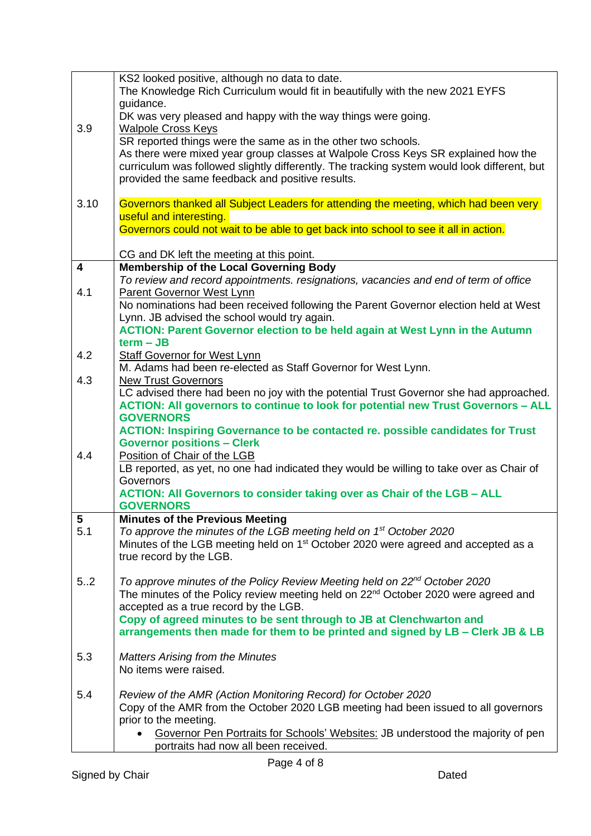|                         | KS2 looked positive, although no data to date.                                                                          |
|-------------------------|-------------------------------------------------------------------------------------------------------------------------|
|                         | The Knowledge Rich Curriculum would fit in beautifully with the new 2021 EYFS                                           |
|                         | guidance.                                                                                                               |
|                         | DK was very pleased and happy with the way things were going.                                                           |
| 3.9                     | <b>Walpole Cross Keys</b>                                                                                               |
|                         | SR reported things were the same as in the other two schools.                                                           |
|                         | As there were mixed year group classes at Walpole Cross Keys SR explained how the                                       |
|                         | curriculum was followed slightly differently. The tracking system would look different, but                             |
|                         | provided the same feedback and positive results.                                                                        |
|                         |                                                                                                                         |
| 3.10                    | Governors thanked all Subject Leaders for attending the meeting, which had been very                                    |
|                         | useful and interesting.                                                                                                 |
|                         | Governors could not wait to be able to get back into school to see it all in action.                                    |
|                         |                                                                                                                         |
|                         | CG and DK left the meeting at this point.                                                                               |
| $\overline{\mathbf{4}}$ | <b>Membership of the Local Governing Body</b>                                                                           |
|                         | To review and record appointments. resignations, vacancies and end of term of office                                    |
| 4.1                     | Parent Governor West Lynn                                                                                               |
|                         | No nominations had been received following the Parent Governor election held at West                                    |
|                         | Lynn. JB advised the school would try again.                                                                            |
|                         | <b>ACTION: Parent Governor election to be held again at West Lynn in the Autumn</b>                                     |
|                         | $term - JB$                                                                                                             |
| 4.2                     | <b>Staff Governor for West Lynn</b>                                                                                     |
|                         | M. Adams had been re-elected as Staff Governor for West Lynn.                                                           |
| 4.3                     | <b>New Trust Governors</b>                                                                                              |
|                         | LC advised there had been no joy with the potential Trust Governor she had approached.                                  |
|                         | ACTION: All governors to continue to look for potential new Trust Governors - ALL                                       |
|                         |                                                                                                                         |
|                         | <b>GOVERNORS</b>                                                                                                        |
|                         |                                                                                                                         |
|                         | <b>ACTION: Inspiring Governance to be contacted re. possible candidates for Trust</b>                                   |
| 4.4                     | <b>Governor positions - Clerk</b><br>Position of Chair of the LGB                                                       |
|                         | LB reported, as yet, no one had indicated they would be willing to take over as Chair of                                |
|                         | Governors                                                                                                               |
|                         | <b>ACTION: All Governors to consider taking over as Chair of the LGB - ALL</b>                                          |
|                         | <b>GOVERNORS</b>                                                                                                        |
| 5                       | <b>Minutes of the Previous Meeting</b>                                                                                  |
| 5.1                     | To approve the minutes of the LGB meeting held on 1 <sup>st</sup> October 2020                                          |
|                         | Minutes of the LGB meeting held on 1 <sup>st</sup> October 2020 were agreed and accepted as a                           |
|                         | true record by the LGB.                                                                                                 |
|                         |                                                                                                                         |
| 5.2                     | To approve minutes of the Policy Review Meeting held on 22 <sup>nd</sup> October 2020                                   |
|                         | The minutes of the Policy review meeting held on 22 <sup>nd</sup> October 2020 were agreed and                          |
|                         | accepted as a true record by the LGB.                                                                                   |
|                         | Copy of agreed minutes to be sent through to JB at Clenchwarton and                                                     |
|                         | arrangements then made for them to be printed and signed by LB - Clerk JB & LB                                          |
|                         |                                                                                                                         |
| 5.3                     | <b>Matters Arising from the Minutes</b>                                                                                 |
|                         | No items were raised.                                                                                                   |
|                         |                                                                                                                         |
| 5.4                     | Review of the AMR (Action Monitoring Record) for October 2020                                                           |
|                         | Copy of the AMR from the October 2020 LGB meeting had been issued to all governors                                      |
|                         | prior to the meeting.                                                                                                   |
|                         | Governor Pen Portraits for Schools' Websites: JB understood the majority of pen<br>portraits had now all been received. |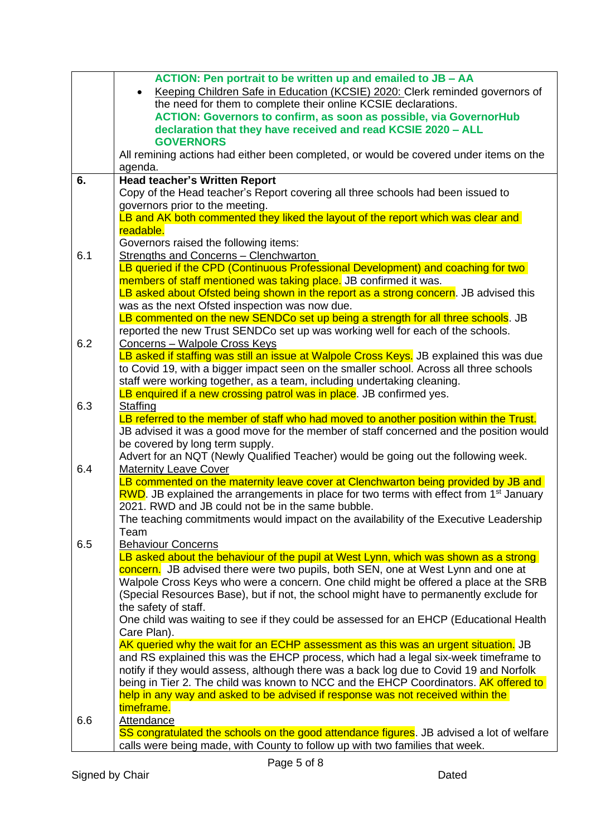|     | ACTION: Pen portrait to be written up and emailed to JB - AA                                                                                                                  |
|-----|-------------------------------------------------------------------------------------------------------------------------------------------------------------------------------|
|     | Keeping Children Safe in Education (KCSIE) 2020: Clerk reminded governors of<br>$\bullet$                                                                                     |
|     | the need for them to complete their online KCSIE declarations.                                                                                                                |
|     | <b>ACTION: Governors to confirm, as soon as possible, via GovernorHub</b>                                                                                                     |
|     | declaration that they have received and read KCSIE 2020 - ALL                                                                                                                 |
|     | <b>GOVERNORS</b>                                                                                                                                                              |
|     | All remining actions had either been completed, or would be covered under items on the                                                                                        |
|     | agenda.                                                                                                                                                                       |
| 6.  | <b>Head teacher's Written Report</b><br>Copy of the Head teacher's Report covering all three schools had been issued to                                                       |
|     | governors prior to the meeting.                                                                                                                                               |
|     | LB and AK both commented they liked the layout of the report which was clear and                                                                                              |
|     | readable.                                                                                                                                                                     |
|     | Governors raised the following items:                                                                                                                                         |
| 6.1 | <b>Strengths and Concerns - Clenchwarton</b>                                                                                                                                  |
|     | LB queried if the CPD (Continuous Professional Development) and coaching for two                                                                                              |
|     | members of staff mentioned was taking place. JB confirmed it was.                                                                                                             |
|     | LB asked about Ofsted being shown in the report as a strong concern. JB advised this                                                                                          |
|     | was as the next Ofsted inspection was now due.                                                                                                                                |
|     | LB commented on the new SENDCo set up being a strength for all three schools. JB                                                                                              |
|     | reported the new Trust SENDCo set up was working well for each of the schools.                                                                                                |
| 6.2 | Concerns - Walpole Cross Keys                                                                                                                                                 |
|     | LB asked if staffing was still an issue at Walpole Cross Keys. JB explained this was due                                                                                      |
|     | to Covid 19, with a bigger impact seen on the smaller school. Across all three schools                                                                                        |
|     | staff were working together, as a team, including undertaking cleaning.                                                                                                       |
|     | LB enquired if a new crossing patrol was in place. JB confirmed yes.                                                                                                          |
| 6.3 | <b>Staffing</b>                                                                                                                                                               |
|     | LB referred to the member of staff who had moved to another position within the Trust.                                                                                        |
|     | JB advised it was a good move for the member of staff concerned and the position would                                                                                        |
|     | be covered by long term supply.<br>Advert for an NQT (Newly Qualified Teacher) would be going out the following week.                                                         |
| 6.4 | <b>Maternity Leave Cover</b>                                                                                                                                                  |
|     | LB commented on the maternity leave cover at Clenchwarton being provided by JB and                                                                                            |
|     | RWD. JB explained the arrangements in place for two terms with effect from 1 <sup>st</sup> January                                                                            |
|     | 2021. RWD and JB could not be in the same bubble.                                                                                                                             |
|     | The teaching commitments would impact on the availability of the Executive Leadership                                                                                         |
|     | Team                                                                                                                                                                          |
| 6.5 | <b>Behaviour Concerns</b>                                                                                                                                                     |
|     | LB asked about the behaviour of the pupil at West Lynn, which was shown as a strong                                                                                           |
|     | concern. JB advised there were two pupils, both SEN, one at West Lynn and one at                                                                                              |
|     | Walpole Cross Keys who were a concern. One child might be offered a place at the SRB                                                                                          |
|     | (Special Resources Base), but if not, the school might have to permanently exclude for                                                                                        |
|     | the safety of staff.                                                                                                                                                          |
|     | One child was waiting to see if they could be assessed for an EHCP (Educational Health                                                                                        |
|     | Care Plan).                                                                                                                                                                   |
|     | AK queried why the wait for an ECHP assessment as this was an urgent situation. JB                                                                                            |
|     | and RS explained this was the EHCP process, which had a legal six-week timeframe to<br>notify if they would assess, although there was a back log due to Covid 19 and Norfolk |
|     | being in Tier 2. The child was known to NCC and the EHCP Coordinators. AK offered to                                                                                          |
|     | help in any way and asked to be advised if response was not received within the                                                                                               |
|     | timeframe.                                                                                                                                                                    |
| 6.6 | Attendance                                                                                                                                                                    |
|     | SS congratulated the schools on the good attendance figures. JB advised a lot of welfare                                                                                      |
|     | calls were being made, with County to follow up with two families that week.                                                                                                  |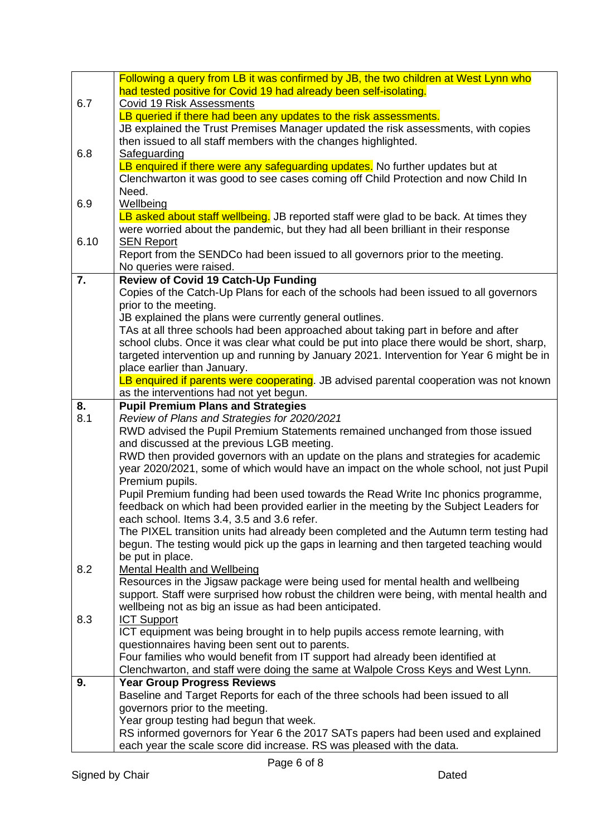|      | Following a query from LB it was confirmed by JB, the two children at West Lynn who                                               |
|------|-----------------------------------------------------------------------------------------------------------------------------------|
|      | had tested positive for Covid 19 had already been self-isolating.                                                                 |
| 6.7  | <b>Covid 19 Risk Assessments</b>                                                                                                  |
|      | LB queried if there had been any updates to the risk assessments.                                                                 |
|      | JB explained the Trust Premises Manager updated the risk assessments, with copies                                                 |
|      | then issued to all staff members with the changes highlighted.                                                                    |
| 6.8  | Safeguarding                                                                                                                      |
|      | LB enquired if there were any safeguarding updates. No further updates but at                                                     |
|      | Clenchwarton it was good to see cases coming off Child Protection and now Child In                                                |
|      | Need.                                                                                                                             |
| 6.9  | Wellbeing                                                                                                                         |
|      | LB asked about staff wellbeing. JB reported staff were glad to be back. At times they                                             |
|      | were worried about the pandemic, but they had all been brilliant in their response                                                |
| 6.10 | <b>SEN Report</b>                                                                                                                 |
|      | Report from the SENDCo had been issued to all governors prior to the meeting.                                                     |
|      | No queries were raised.                                                                                                           |
| 7.   | <b>Review of Covid 19 Catch-Up Funding</b>                                                                                        |
|      | Copies of the Catch-Up Plans for each of the schools had been issued to all governors                                             |
|      | prior to the meeting.                                                                                                             |
|      | JB explained the plans were currently general outlines.                                                                           |
|      | TAs at all three schools had been approached about taking part in before and after                                                |
|      | school clubs. Once it was clear what could be put into place there would be short, sharp,                                         |
|      | targeted intervention up and running by January 2021. Intervention for Year 6 might be in                                         |
|      | place earlier than January.                                                                                                       |
|      | LB enquired if parents were cooperating. JB advised parental cooperation was not known<br>as the interventions had not yet begun. |
| 8.   | <b>Pupil Premium Plans and Strategies</b>                                                                                         |
| 8.1  | Review of Plans and Strategies for 2020/2021                                                                                      |
|      | RWD advised the Pupil Premium Statements remained unchanged from those issued                                                     |
|      | and discussed at the previous LGB meeting.                                                                                        |
|      | RWD then provided governors with an update on the plans and strategies for academic                                               |
|      | year 2020/2021, some of which would have an impact on the whole school, not just Pupil                                            |
|      | Premium pupils.                                                                                                                   |
|      | Pupil Premium funding had been used towards the Read Write Inc phonics programme,                                                 |
|      | feedback on which had been provided earlier in the meeting by the Subject Leaders for                                             |
|      | each school. Items 3.4, 3.5 and 3.6 refer.                                                                                        |
|      | The PIXEL transition units had already been completed and the Autumn term testing had                                             |
|      | begun. The testing would pick up the gaps in learning and then targeted teaching would                                            |
|      | be put in place.                                                                                                                  |
| 8.2  | <b>Mental Health and Wellbeing</b>                                                                                                |
|      | Resources in the Jigsaw package were being used for mental health and wellbeing                                                   |
|      | support. Staff were surprised how robust the children were being, with mental health and                                          |
|      | wellbeing not as big an issue as had been anticipated.                                                                            |
| 8.3  | <b>ICT Support</b>                                                                                                                |
|      | ICT equipment was being brought in to help pupils access remote learning, with                                                    |
|      | questionnaires having been sent out to parents.                                                                                   |
|      | Four families who would benefit from IT support had already been identified at                                                    |
|      | Clenchwarton, and staff were doing the same at Walpole Cross Keys and West Lynn.                                                  |
| 9.   | <b>Year Group Progress Reviews</b>                                                                                                |
|      | Baseline and Target Reports for each of the three schools had been issued to all                                                  |
|      | governors prior to the meeting.                                                                                                   |
|      | Year group testing had begun that week.<br>RS informed governors for Year 6 the 2017 SATs papers had been used and explained      |
|      | each year the scale score did increase. RS was pleased with the data.                                                             |
|      |                                                                                                                                   |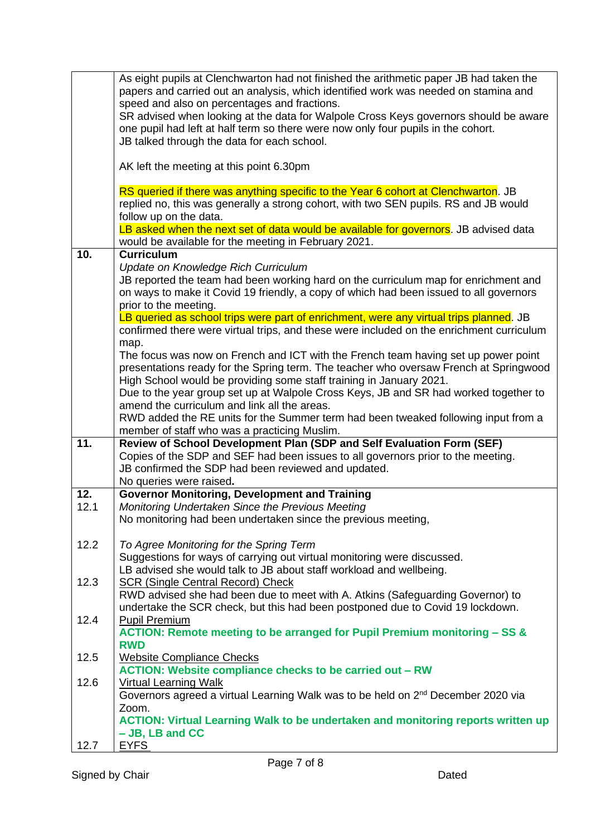|      | As eight pupils at Clenchwarton had not finished the arithmetic paper JB had taken the       |
|------|----------------------------------------------------------------------------------------------|
|      | papers and carried out an analysis, which identified work was needed on stamina and          |
|      |                                                                                              |
|      | speed and also on percentages and fractions.                                                 |
|      | SR advised when looking at the data for Walpole Cross Keys governors should be aware         |
|      | one pupil had left at half term so there were now only four pupils in the cohort.            |
|      | JB talked through the data for each school.                                                  |
|      |                                                                                              |
|      |                                                                                              |
|      | AK left the meeting at this point 6.30pm                                                     |
|      |                                                                                              |
|      | RS queried if there was anything specific to the Year 6 cohort at Clenchwarton. JB           |
|      | replied no, this was generally a strong cohort, with two SEN pupils. RS and JB would         |
|      | follow up on the data.                                                                       |
|      |                                                                                              |
|      | LB asked when the next set of data would be available for governors. JB advised data         |
|      | would be available for the meeting in February 2021.                                         |
| 10.  | <b>Curriculum</b>                                                                            |
|      | Update on Knowledge Rich Curriculum                                                          |
|      | JB reported the team had been working hard on the curriculum map for enrichment and          |
|      |                                                                                              |
|      | on ways to make it Covid 19 friendly, a copy of which had been issued to all governors       |
|      | prior to the meeting.                                                                        |
|      | LB queried as school trips were part of enrichment, were any virtual trips planned. JB       |
|      | confirmed there were virtual trips, and these were included on the enrichment curriculum     |
|      | map.                                                                                         |
|      | The focus was now on French and ICT with the French team having set up power point           |
|      |                                                                                              |
|      | presentations ready for the Spring term. The teacher who oversaw French at Springwood        |
|      | High School would be providing some staff training in January 2021.                          |
|      | Due to the year group set up at Walpole Cross Keys, JB and SR had worked together to         |
|      | amend the curriculum and link all the areas.                                                 |
|      | RWD added the RE units for the Summer term had been tweaked following input from a           |
|      | member of staff who was a practicing Muslim.                                                 |
|      |                                                                                              |
| 11.  | Review of School Development Plan (SDP and Self Evaluation Form (SEF)                        |
|      | Copies of the SDP and SEF had been issues to all governors prior to the meeting.             |
|      | JB confirmed the SDP had been reviewed and updated.                                          |
|      | No queries were raised.                                                                      |
| 12.  | <b>Governor Monitoring, Development and Training</b>                                         |
| 12.1 | Monitoring Undertaken Since the Previous Meeting                                             |
|      |                                                                                              |
|      | No monitoring had been undertaken since the previous meeting,                                |
|      |                                                                                              |
| 12.2 | To Agree Monitoring for the Spring Term                                                      |
|      | Suggestions for ways of carrying out virtual monitoring were discussed.                      |
|      | LB advised she would talk to JB about staff workload and wellbeing.                          |
| 12.3 | <b>SCR (Single Central Record) Check</b>                                                     |
|      |                                                                                              |
|      | RWD advised she had been due to meet with A. Atkins (Safeguarding Governor) to               |
|      | undertake the SCR check, but this had been postponed due to Covid 19 lockdown.               |
| 12.4 | <b>Pupil Premium</b>                                                                         |
|      | ACTION: Remote meeting to be arranged for Pupil Premium monitoring - SS &                    |
|      | <b>RWD</b>                                                                                   |
| 12.5 |                                                                                              |
|      | <b>Website Compliance Checks</b>                                                             |
|      | <b>ACTION: Website compliance checks to be carried out - RW</b>                              |
| 12.6 | <b>Virtual Learning Walk</b>                                                                 |
|      | Governors agreed a virtual Learning Walk was to be held on 2 <sup>nd</sup> December 2020 via |
|      | Zoom.                                                                                        |
|      | <b>ACTION: Virtual Learning Walk to be undertaken and monitoring reports written up</b>      |
|      | - JB, LB and CC                                                                              |
|      |                                                                                              |
| 12.7 | <b>EYFS</b>                                                                                  |